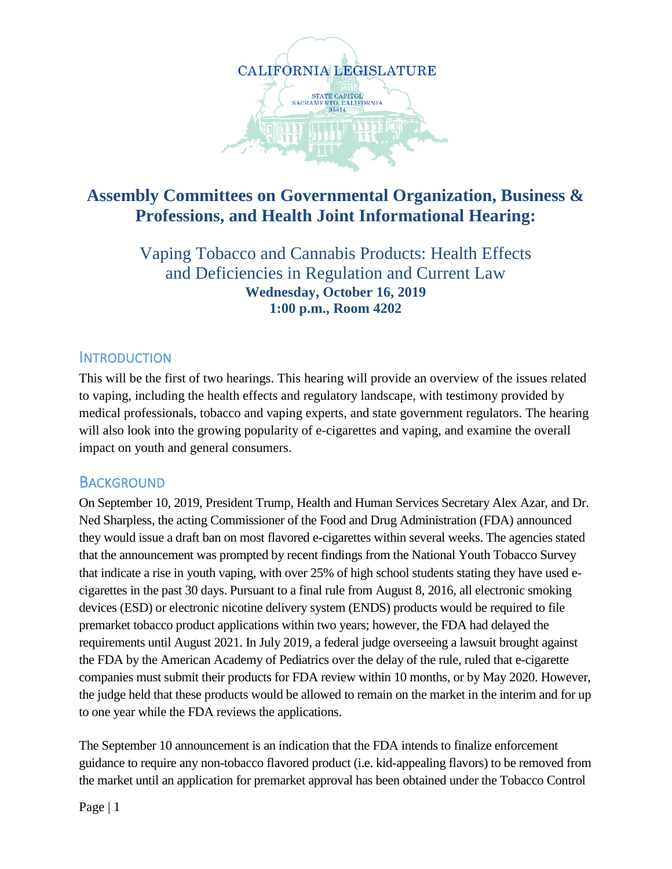

# **Assembly Committees on Governmental Organization, Business & Professions, and Health Joint Informational Hearing:**

Vaping Tobacco and Cannabis Products: Health Effects and Deficiencies in Regulation and Current Law **Wednesday, October 16, 2019 1:00 p.m., Room 4202**

### **INTRODUCTION**

This will be the first of two hearings. This hearing will provide an overview of the issues related to vaping, including the health effects and regulatory landscape, with testimony provided by medical professionals, tobacco and vaping experts, and state government regulators. The hearing will also look into the growing popularity of e-cigarettes and vaping, and examine the overall impact on youth and general consumers.

### **BACKGROUND**

On September 10, 2019, President Trump, Health and Human Services Secretary Alex Azar, and Dr. Ned Sharpless, the acting Commissioner of the Food and Drug Administration (FDA) announced they would issue a draft ban on most flavored e-cigarettes within several weeks. The agencies stated that the announcement was prompted by recent findings from the National Youth Tobacco Survey that indicate a rise in youth vaping, with over 25% of high school students stating they have used ecigarettes in the past 30 days. Pursuant to a final rule from August 8, 2016, all electronic smoking devices (ESD) or electronic nicotine delivery system (ENDS) products would be required to file premarket tobacco product applications within two years; however, the FDA had delayed the requirements until August 2021. In July 2019, a federal judge overseeing a lawsuit brought against the FDA by the American Academy of Pediatrics over the delay of the rule, ruled that e-cigarette companies must submit their products for FDA review within 10 months, or by May 2020. However, the judge held that these products would be allowed to remain on the market in the interim and for up to one year while the FDA reviews the applications.

The September 10 announcement is an indication that the FDA intends to finalize enforcement guidance to require any non-tobacco flavored product (i.e. kid-appealing flavors) to be removed from the market until an application for premarket approval has been obtained under the Tobacco Control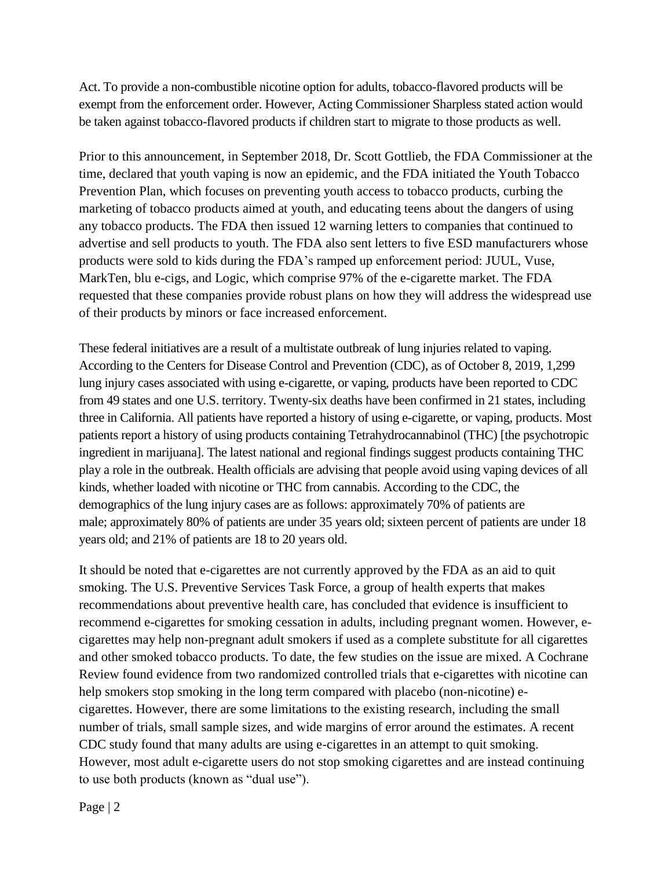Act. To provide a non-combustible nicotine option for adults, tobacco-flavored products will be exempt from the enforcement order. However, Acting Commissioner Sharpless stated action would be taken against tobacco-flavored products if children start to migrate to those products as well.

Prior to this announcement, in September 2018, Dr. Scott Gottlieb, the FDA Commissioner at the time, declared that youth vaping is now an epidemic, and the FDA initiated the Youth Tobacco Prevention Plan, which focuses on preventing youth access to tobacco products, curbing the marketing of tobacco products aimed at youth, and educating teens about the dangers of using any tobacco products. The FDA then issued 12 warning letters to companies that continued to advertise and sell products to youth. The FDA also sent letters to five ESD manufacturers whose products were sold to kids during the FDA's ramped up enforcement period: JUUL, Vuse, MarkTen, blu e-cigs, and Logic, which comprise 97% of the e-cigarette market. The FDA requested that these companies provide robust plans on how they will address the widespread use of their products by minors or face increased enforcement.

These federal initiatives are a result of a multistate outbreak of lung injuries related to vaping. According to the Centers for Disease Control and Prevention (CDC), as of October 8, 2019, 1,299 lung injury cases associated with using e-cigarette, or vaping, products have been reported to CDC from 49 states and one U.S. territory. Twenty-six deaths have been confirmed in 21 states, including three in California. All patients have reported a history of using e-cigarette, or vaping, products. Most patients report a history of using products containing Tetrahydrocannabinol (THC) [the psychotropic ingredient in marijuana]. The latest national and regional findings suggest products containing THC play a role in the outbreak. Health officials are advising that people avoid using vaping devices of all kinds, whether loaded with nicotine or THC from cannabis. According to the CDC, the demographics of the lung injury cases are as follows: approximately 70% of patients are male; approximately 80% of patients are under 35 years old; sixteen percent of patients are under 18 years old; and 21% of patients are 18 to 20 years old.

It should be noted that e-cigarettes are not currently approved by the FDA as an aid to quit smoking. The U.S. Preventive Services Task Force, a group of health experts that makes recommendations about preventive health care, has concluded that evidence is insufficient to recommend e-cigarettes for smoking cessation in adults, including pregnant women. However, ecigarettes may help non-pregnant adult smokers if used as a complete substitute for all cigarettes and other smoked tobacco products. To date, the few studies on the issue are mixed. A Cochrane Review found evidence from two randomized controlled trials that e-cigarettes with nicotine can help smokers stop smoking in the long term compared with placebo (non-nicotine) ecigarettes. However, there are some limitations to the existing research, including the small number of trials, small sample sizes, and wide margins of error around the estimates. A recent CDC study found that many adults are using e-cigarettes in an attempt to quit smoking. However, most adult e-cigarette users do not stop smoking cigarettes and are instead continuing to use both products (known as "dual use").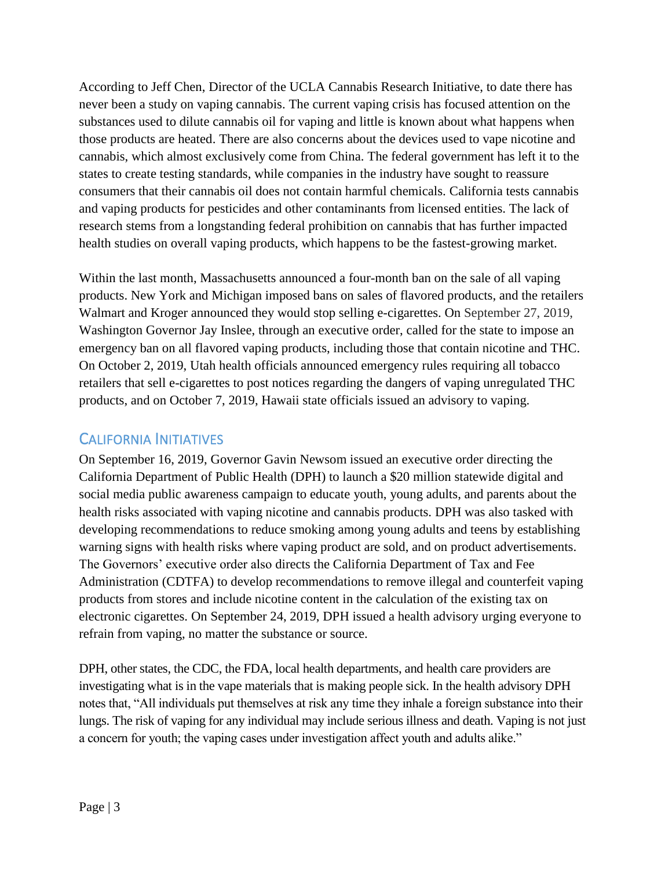According to Jeff Chen, Director of the UCLA Cannabis Research Initiative, to date there has never been a study on vaping cannabis. The current vaping crisis has focused attention on the substances used to dilute cannabis oil for vaping and little is known about what happens when those products are heated. There are also concerns about the devices used to vape nicotine and cannabis, which almost exclusively come from China. The federal government has left it to the states to create testing standards, while companies in the industry have sought to reassure consumers that their cannabis oil does not contain harmful chemicals. California tests cannabis and vaping products for pesticides and other contaminants from licensed entities. The lack of research stems from a longstanding federal prohibition on cannabis that has further impacted health studies on overall vaping products, which happens to be the fastest-growing market.

Within the last month, Massachusetts announced a four-month ban on the sale of all vaping products. New York and Michigan imposed bans on sales of flavored products, and the retailers Walmart and Kroger announced they would stop selling e-cigarettes. On September 27, 2019, Washington Governor Jay Inslee, through an executive order, called for the state to impose an emergency ban on all flavored vaping products, including those that contain nicotine and THC. On October 2, 2019, Utah health officials announced emergency rules requiring all tobacco retailers that sell e-cigarettes to post notices regarding the dangers of vaping unregulated THC products, and on October 7, 2019, Hawaii state officials issued an advisory to vaping.

#### CALIFORNIA INITIATIVES

On September 16, 2019, Governor Gavin Newsom issued an executive order directing the California Department of Public Health (DPH) to launch a \$20 million statewide digital and social media public awareness campaign to educate youth, young adults, and parents about the health risks associated with vaping nicotine and cannabis products. DPH was also tasked with developing recommendations to reduce smoking among young adults and teens by establishing warning signs with health risks where vaping product are sold, and on product advertisements. The Governors' executive order also directs the California Department of Tax and Fee Administration (CDTFA) to develop recommendations to remove illegal and counterfeit vaping products from stores and include nicotine content in the calculation of the existing tax on electronic cigarettes. On September 24, 2019, DPH issued a health advisory urging everyone to refrain from vaping, no matter the substance or source.

DPH, other states, the CDC, the FDA, local health departments, and health care providers are investigating what is in the vape materials that is making people sick. In the health advisory DPH notes that, "All individuals put themselves at risk any time they inhale a foreign substance into their lungs. The risk of vaping for any individual may include serious illness and death. Vaping is not just a concern for youth; the vaping cases under investigation affect youth and adults alike."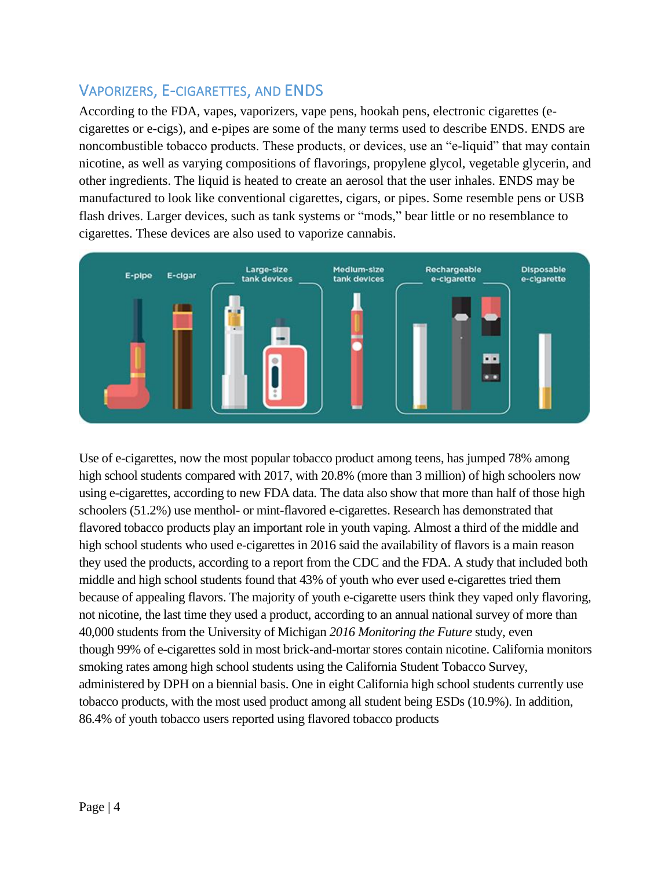## VAPORIZERS, E-CIGARETTES, AND ENDS

According to the FDA, vapes, vaporizers, vape pens, hookah pens, electronic cigarettes (ecigarettes or e-cigs), and e-pipes are some of the many terms used to describe ENDS. ENDS are noncombustible tobacco products. These products, or devices, use an "e-liquid" that may contain nicotine, as well as varying compositions of flavorings, propylene glycol, vegetable glycerin, and other ingredients. The liquid is heated to create an aerosol that the user inhales. ENDS may be manufactured to look like conventional cigarettes, cigars, or pipes. Some resemble pens or USB flash drives. Larger devices, such as tank systems or "mods," bear little or no resemblance to cigarettes. These devices are also used to vaporize cannabis.



Use of e-cigarettes, now the most popular tobacco product among teens, has jumped 78% among high school students compared with 2017, with 20.8% (more than 3 million) of high schoolers now using e-cigarettes, according to new FDA data. The data also show that more than half of those high schoolers (51.2%) use menthol- or mint-flavored e-cigarettes. Research has demonstrated that flavored tobacco products play an important role in youth vaping. Almost a third of the middle and high school students who used e-cigarettes in 2016 said the availability of flavors is a main reason they used the products, according to a report from the CDC and the FDA. A study that included both middle and high school students found that 43% of youth who ever used e-cigarettes tried them because of appealing flavors. The majority of youth e-cigarette users think they vaped only flavoring, not nicotine, the last time they used a product, according to an annual national survey of more than 40,000 students from the University of Michigan *2016 Monitoring the Future* study, even though 99% of e-cigarettes sold in most brick-and-mortar stores contain nicotine. California monitors smoking rates among high school students using the California Student Tobacco Survey, administered by DPH on a biennial basis. One in eight California high school students currently use tobacco products, with the most used product among all student being ESDs (10.9%). In addition, 86.4% of youth tobacco users reported using flavored tobacco products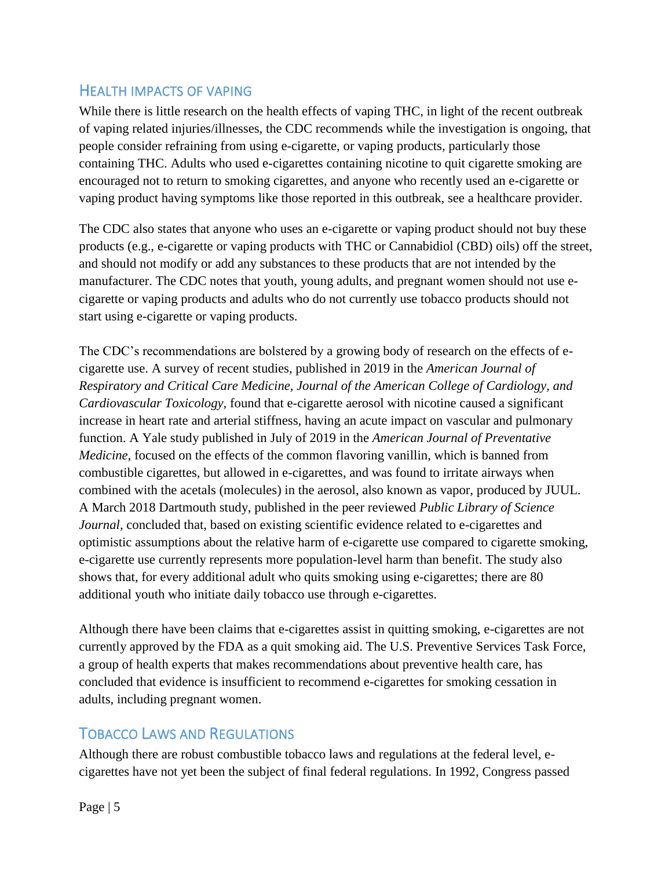#### HEALTH IMPACTS OF VAPING

While there is little research on the health effects of vaping THC, in light of the recent outbreak of vaping related injuries/illnesses, the CDC recommends while the investigation is ongoing, that people consider refraining from using e-cigarette, or vaping products, particularly those containing THC. Adults who used e-cigarettes containing nicotine to quit cigarette smoking are encouraged not to return to smoking cigarettes, and anyone who recently used an e-cigarette or vaping product having symptoms like those reported in this outbreak, see a healthcare provider.

The CDC also states that anyone who uses an e-cigarette or vaping product should not buy these products (e.g., e-cigarette or vaping products with THC or Cannabidiol (CBD) oils) off the street, and should not modify or add any substances to these products that are not intended by the manufacturer. The CDC notes that youth, young adults, and pregnant women should not use ecigarette or vaping products and adults who do not currently use tobacco products should not start using e-cigarette or vaping products.

The CDC's recommendations are bolstered by a growing body of research on the effects of ecigarette use. A survey of recent studies, published in 2019 in the *American Journal of Respiratory and Critical Care Medicine, Journal of the American College of Cardiology, and Cardiovascular Toxicology,* found that e-cigarette aerosol with nicotine caused a significant increase in heart rate and arterial stiffness, having an acute impact on vascular and pulmonary function. A Yale study published in July of 2019 in the *American Journal of Preventative Medicine,* focused on the effects of the common flavoring vanillin, which is banned from combustible cigarettes, but allowed in e-cigarettes, and was found to irritate airways when combined with the acetals (molecules) in the aerosol, also known as vapor, produced by JUUL. A March 2018 Dartmouth study, published in the peer reviewed *Public Library of Science Journal*, concluded that, based on existing scientific evidence related to e-cigarettes and optimistic assumptions about the relative harm of e-cigarette use compared to cigarette smoking, e-cigarette use currently represents more population-level harm than benefit. The study also shows that, for every additional adult who quits smoking using e-cigarettes; there are 80 additional youth who initiate daily tobacco use through e-cigarettes.

Although there have been claims that e-cigarettes assist in quitting smoking, e-cigarettes are not currently approved by the FDA as a quit smoking aid. The U.S. Preventive Services Task Force, a group of health experts that makes recommendations about preventive health care, has concluded that evidence is insufficient to recommend e-cigarettes for smoking cessation in adults, including pregnant women.

### TOBACCO LAWS AND REGULATIONS

Although there are robust combustible tobacco laws and regulations at the federal level, ecigarettes have not yet been the subject of final federal regulations. In 1992, Congress passed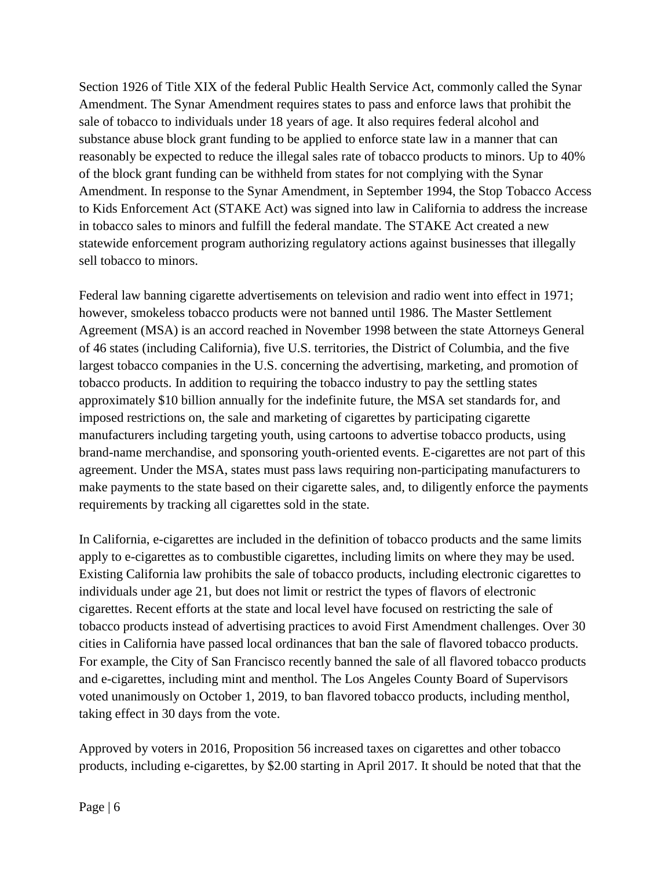Section 1926 of Title XIX of the federal Public Health Service Act, commonly called the Synar Amendment. The Synar Amendment requires states to pass and enforce laws that prohibit the sale of tobacco to individuals under 18 years of age. It also requires federal alcohol and substance abuse block grant funding to be applied to enforce state law in a manner that can reasonably be expected to reduce the illegal sales rate of tobacco products to minors. Up to 40% of the block grant funding can be withheld from states for not complying with the Synar Amendment. In response to the Synar Amendment, in September 1994, the Stop Tobacco Access to Kids Enforcement Act (STAKE Act) was signed into law in California to address the increase in tobacco sales to minors and fulfill the federal mandate. The STAKE Act created a new statewide enforcement program authorizing regulatory actions against businesses that illegally sell tobacco to minors.

Federal law banning cigarette advertisements on television and radio went into effect in 1971; however, smokeless tobacco products were not banned until 1986. The Master Settlement Agreement (MSA) is an accord reached in November 1998 between the state Attorneys General of 46 states (including California), five U.S. territories, the District of Columbia, and the five largest tobacco companies in the U.S. concerning the advertising, marketing, and promotion of tobacco products. In addition to requiring the tobacco industry to pay the settling states approximately \$10 billion annually for the indefinite future, the MSA set standards for, and imposed restrictions on, the sale and marketing of cigarettes by participating cigarette manufacturers including targeting youth, using cartoons to advertise tobacco products, using brand-name merchandise, and sponsoring youth-oriented events. E-cigarettes are not part of this agreement. Under the MSA, states must pass laws requiring non-participating manufacturers to make payments to the state based on their cigarette sales, and, to diligently enforce the payments requirements by tracking all cigarettes sold in the state.

In California, e-cigarettes are included in the definition of tobacco products and the same limits apply to e-cigarettes as to combustible cigarettes, including limits on where they may be used. Existing California law prohibits the sale of tobacco products, including electronic cigarettes to individuals under age 21, but does not limit or restrict the types of flavors of electronic cigarettes. Recent efforts at the state and local level have focused on restricting the sale of tobacco products instead of advertising practices to avoid First Amendment challenges. Over 30 cities in California have passed local ordinances that ban the sale of flavored tobacco products. For example, the City of San Francisco recently banned the sale of all flavored tobacco products and e-cigarettes, including mint and menthol. The Los Angeles County Board of Supervisors voted unanimously on October 1, 2019, to ban flavored tobacco products, including menthol, taking effect in 30 days from the vote.

Approved by voters in 2016, Proposition 56 increased taxes on cigarettes and other tobacco products, including e-cigarettes, by \$2.00 starting in April 2017. It should be noted that that the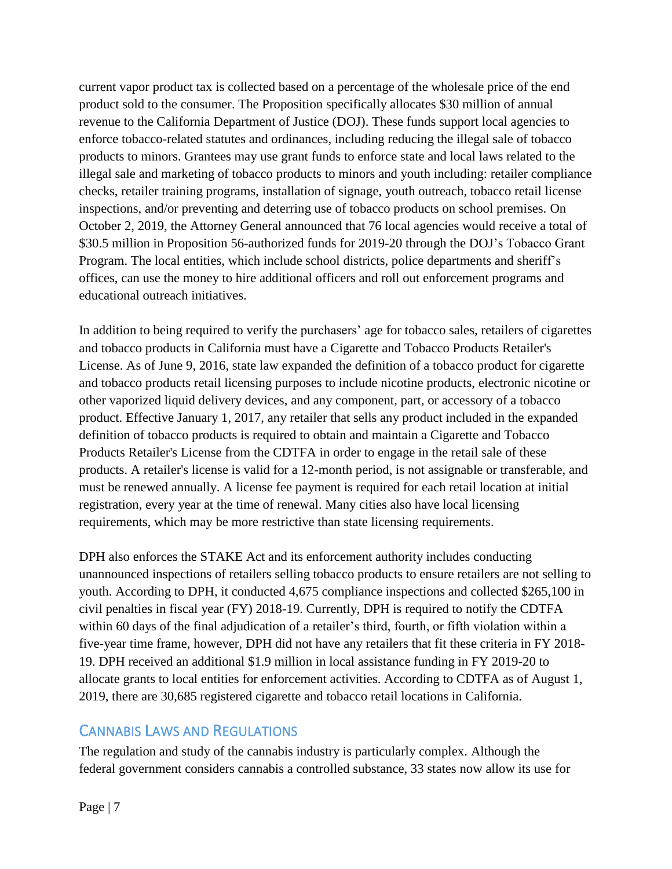current vapor product tax is collected based on a percentage of the wholesale price of the end product sold to the consumer. The Proposition specifically allocates \$30 million of annual revenue to the California Department of Justice (DOJ). These funds support local agencies to enforce tobacco-related statutes and ordinances, including reducing the illegal sale of tobacco products to minors. Grantees may use grant funds to enforce state and local laws related to the illegal sale and marketing of tobacco products to minors and youth including: retailer compliance checks, retailer training programs, installation of signage, youth outreach, tobacco retail license inspections, and/or preventing and deterring use of tobacco products on school premises. On October 2, 2019, the Attorney General announced that 76 local agencies would receive a total of \$30.5 million in Proposition 56-authorized funds for 2019-20 through the DOJ's Tobacco Grant Program. The local entities, which include school districts, police departments and sheriff's offices, can use the money to hire additional officers and roll out enforcement programs and educational outreach initiatives.

In addition to being required to verify the purchasers' age for tobacco sales, retailers of cigarettes and tobacco products in California must have a Cigarette and Tobacco Products Retailer's License. As of June 9, 2016, state law expanded the definition of a tobacco product for cigarette and tobacco products retail licensing purposes to include nicotine products, electronic nicotine or other vaporized liquid delivery devices, and any component, part, or accessory of a tobacco product. Effective January 1, 2017, any retailer that sells any product included in the expanded definition of tobacco products is required to obtain and maintain a Cigarette and Tobacco Products Retailer's License from the CDTFA in order to engage in the retail sale of these products. A retailer's license is valid for a 12-month period, is not assignable or transferable, and must be renewed annually. A license fee payment is required for each retail location at initial registration, every year at the time of renewal. Many cities also have local licensing requirements, which may be more restrictive than state licensing requirements.

DPH also enforces the STAKE Act and its enforcement authority includes conducting unannounced inspections of retailers selling tobacco products to ensure retailers are not selling to youth. According to DPH, it conducted 4,675 compliance inspections and collected \$265,100 in civil penalties in fiscal year (FY) 2018-19. Currently, DPH is required to notify the CDTFA within 60 days of the final adjudication of a retailer's third, fourth, or fifth violation within a five-year time frame, however, DPH did not have any retailers that fit these criteria in FY 2018- 19. DPH received an additional \$1.9 million in local assistance funding in FY 2019-20 to allocate grants to local entities for enforcement activities. According to CDTFA as of August 1, 2019, there are 30,685 registered cigarette and tobacco retail locations in California.

### CANNABIS LAWS AND REGULATIONS

The regulation and study of the cannabis industry is particularly complex. Although the federal government considers cannabis a controlled substance, 33 states now allow its use for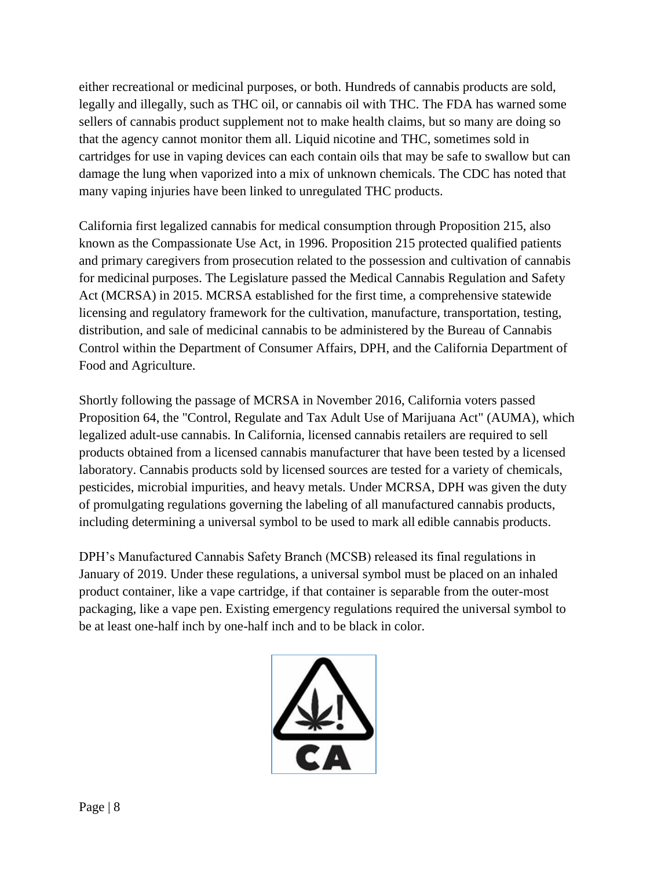either recreational or medicinal purposes, or both. Hundreds of cannabis products are sold, legally and illegally, such as THC oil, or cannabis oil with THC. The FDA has warned some sellers of cannabis product supplement not to make health claims, but so many are doing so that the agency cannot monitor them all. Liquid nicotine and THC, sometimes sold in cartridges for use in vaping devices can each contain oils that may be safe to swallow but can damage the lung when vaporized into a mix of unknown chemicals. The CDC has noted that many vaping injuries have been linked to unregulated THC products.

California first legalized cannabis for medical consumption through Proposition 215, also known as the Compassionate Use Act, in 1996. Proposition 215 protected qualified patients and primary caregivers from prosecution related to the possession and cultivation of cannabis for medicinal purposes. The Legislature passed the Medical Cannabis Regulation and Safety Act (MCRSA) in 2015. MCRSA established for the first time, a comprehensive statewide licensing and regulatory framework for the cultivation, manufacture, transportation, testing, distribution, and sale of medicinal cannabis to be administered by the Bureau of Cannabis Control within the Department of Consumer Affairs, DPH, and the California Department of Food and Agriculture.

Shortly following the passage of MCRSA in November 2016, California voters passed Proposition 64, the "Control, Regulate and Tax Adult Use of Marijuana Act" (AUMA), which legalized adult-use cannabis. In California, licensed cannabis retailers are required to sell products obtained from a licensed cannabis manufacturer that have been tested by a licensed laboratory. Cannabis products sold by licensed sources are tested for a variety of chemicals, pesticides, microbial impurities, and heavy metals. Under MCRSA, DPH was given the duty of promulgating regulations governing the labeling of all manufactured cannabis products, including determining a universal symbol to be used to mark all edible cannabis products.

DPH's Manufactured Cannabis Safety Branch (MCSB) released its final regulations in January of 2019. Under these regulations, a universal symbol must be placed on an inhaled product container, like a vape cartridge, if that container is separable from the outer-most packaging, like a vape pen. Existing emergency regulations required the universal symbol to be at least one-half inch by one-half inch and to be black in color.